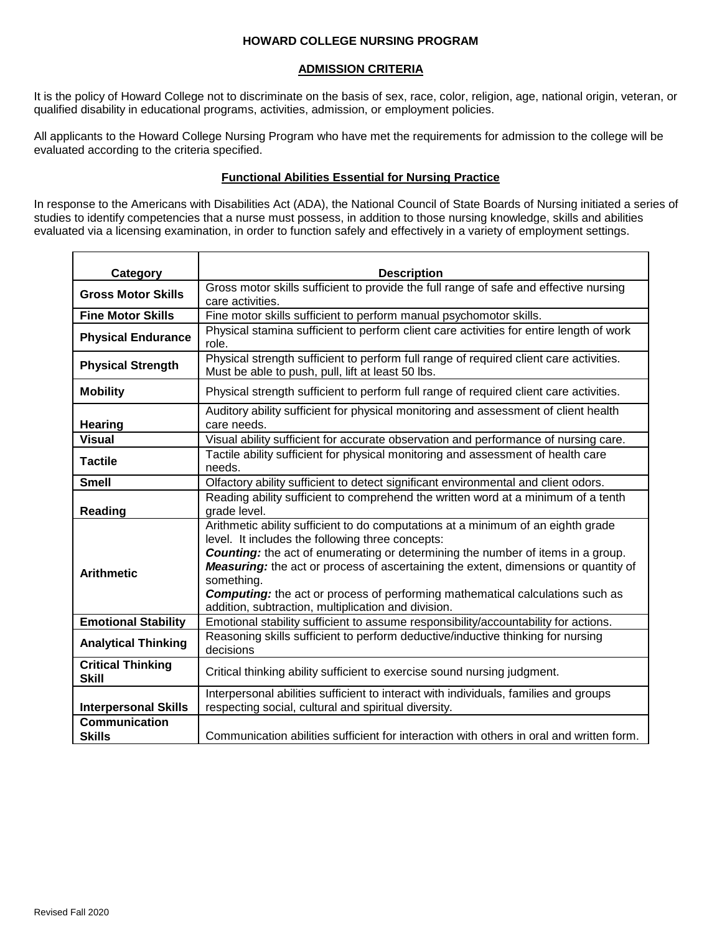# **HOWARD COLLEGE NURSING PROGRAM**

# **ADMISSION CRITERIA**

It is the policy of Howard College not to discriminate on the basis of sex, race, color, religion, age, national origin, veteran, or qualified disability in educational programs, activities, admission, or employment policies.

All applicants to the Howard College Nursing Program who have met the requirements for admission to the college will be evaluated according to the criteria specified.

# **Functional Abilities Essential for Nursing Practice**

In response to the Americans with Disabilities Act (ADA), the National Council of State Boards of Nursing initiated a series of studies to identify competencies that a nurse must possess, in addition to those nursing knowledge, skills and abilities evaluated via a licensing examination, in order to function safely and effectively in a variety of employment settings.

| Category                                 | <b>Description</b>                                                                                                                                                                                                                                                                                                                                                                                                                                                                        |  |  |  |  |  |
|------------------------------------------|-------------------------------------------------------------------------------------------------------------------------------------------------------------------------------------------------------------------------------------------------------------------------------------------------------------------------------------------------------------------------------------------------------------------------------------------------------------------------------------------|--|--|--|--|--|
| <b>Gross Motor Skills</b>                | Gross motor skills sufficient to provide the full range of safe and effective nursing<br>care activities.                                                                                                                                                                                                                                                                                                                                                                                 |  |  |  |  |  |
| <b>Fine Motor Skills</b>                 | Fine motor skills sufficient to perform manual psychomotor skills.                                                                                                                                                                                                                                                                                                                                                                                                                        |  |  |  |  |  |
| <b>Physical Endurance</b>                | Physical stamina sufficient to perform client care activities for entire length of work<br>role.                                                                                                                                                                                                                                                                                                                                                                                          |  |  |  |  |  |
| <b>Physical Strength</b>                 | Physical strength sufficient to perform full range of required client care activities.<br>Must be able to push, pull, lift at least 50 lbs.                                                                                                                                                                                                                                                                                                                                               |  |  |  |  |  |
| <b>Mobility</b>                          | Physical strength sufficient to perform full range of required client care activities.                                                                                                                                                                                                                                                                                                                                                                                                    |  |  |  |  |  |
| <b>Hearing</b>                           | Auditory ability sufficient for physical monitoring and assessment of client health<br>care needs.                                                                                                                                                                                                                                                                                                                                                                                        |  |  |  |  |  |
| <b>Visual</b>                            | Visual ability sufficient for accurate observation and performance of nursing care.                                                                                                                                                                                                                                                                                                                                                                                                       |  |  |  |  |  |
| <b>Tactile</b>                           | Tactile ability sufficient for physical monitoring and assessment of health care<br>needs.                                                                                                                                                                                                                                                                                                                                                                                                |  |  |  |  |  |
| <b>Smell</b>                             | Olfactory ability sufficient to detect significant environmental and client odors.                                                                                                                                                                                                                                                                                                                                                                                                        |  |  |  |  |  |
| Reading                                  | Reading ability sufficient to comprehend the written word at a minimum of a tenth<br>grade level.                                                                                                                                                                                                                                                                                                                                                                                         |  |  |  |  |  |
| <b>Arithmetic</b>                        | Arithmetic ability sufficient to do computations at a minimum of an eighth grade<br>level. It includes the following three concepts:<br><b>Counting:</b> the act of enumerating or determining the number of items in a group.<br><b>Measuring:</b> the act or process of ascertaining the extent, dimensions or quantity of<br>something.<br><b>Computing:</b> the act or process of performing mathematical calculations such as<br>addition, subtraction, multiplication and division. |  |  |  |  |  |
| <b>Emotional Stability</b>               | Emotional stability sufficient to assume responsibility/accountability for actions.                                                                                                                                                                                                                                                                                                                                                                                                       |  |  |  |  |  |
| <b>Analytical Thinking</b>               | Reasoning skills sufficient to perform deductive/inductive thinking for nursing<br>decisions                                                                                                                                                                                                                                                                                                                                                                                              |  |  |  |  |  |
| <b>Critical Thinking</b><br><b>Skill</b> | Critical thinking ability sufficient to exercise sound nursing judgment.                                                                                                                                                                                                                                                                                                                                                                                                                  |  |  |  |  |  |
| <b>Interpersonal Skills</b>              | Interpersonal abilities sufficient to interact with individuals, families and groups<br>respecting social, cultural and spiritual diversity.                                                                                                                                                                                                                                                                                                                                              |  |  |  |  |  |
| <b>Communication</b><br><b>Skills</b>    | Communication abilities sufficient for interaction with others in oral and written form.                                                                                                                                                                                                                                                                                                                                                                                                  |  |  |  |  |  |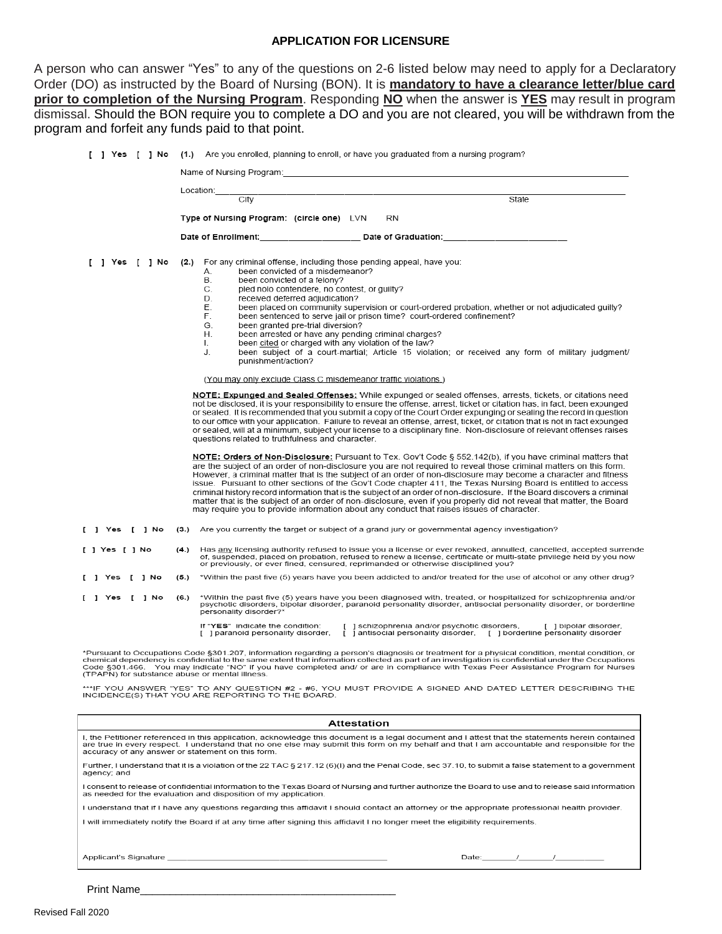#### **APPLICATION FOR LICENSURE**

A person who can answer "Yes" to any of the questions on 2-6 listed below may need to apply for a Declaratory Order (DO) as instructed by the Board of Nursing (BON). It is **mandatory to have a clearance letter/blue card prior to completion of the Nursing Program**. Responding **NO** when the answer is **YES** may result in program dismissal. Should the BON require you to complete a DO and you are not cleared, you will be withdrawn from the program

|              | m and forfeit any funds paid to that point.                                                                                                                                                                                                                                                                                                                                                                                                                                                                                                                                                                                                                                                                                                                                                                                                                                                                                                                                                                                                                                                                                                                                                                                                                                                                                                                                                                                                                                                                                                                                                                                                                                                                                                                                                                                                                                                                                                                                                                                                                                                                                                                                                                                                                                                                                                    |
|--------------|------------------------------------------------------------------------------------------------------------------------------------------------------------------------------------------------------------------------------------------------------------------------------------------------------------------------------------------------------------------------------------------------------------------------------------------------------------------------------------------------------------------------------------------------------------------------------------------------------------------------------------------------------------------------------------------------------------------------------------------------------------------------------------------------------------------------------------------------------------------------------------------------------------------------------------------------------------------------------------------------------------------------------------------------------------------------------------------------------------------------------------------------------------------------------------------------------------------------------------------------------------------------------------------------------------------------------------------------------------------------------------------------------------------------------------------------------------------------------------------------------------------------------------------------------------------------------------------------------------------------------------------------------------------------------------------------------------------------------------------------------------------------------------------------------------------------------------------------------------------------------------------------------------------------------------------------------------------------------------------------------------------------------------------------------------------------------------------------------------------------------------------------------------------------------------------------------------------------------------------------------------------------------------------------------------------------------------------------|
|              | [ ] Yes [ ] No (1.) Are you enrolled, planning to enroll, or have you graduated from a nursing program?                                                                                                                                                                                                                                                                                                                                                                                                                                                                                                                                                                                                                                                                                                                                                                                                                                                                                                                                                                                                                                                                                                                                                                                                                                                                                                                                                                                                                                                                                                                                                                                                                                                                                                                                                                                                                                                                                                                                                                                                                                                                                                                                                                                                                                        |
|              | Name of Nursing Program: Name of Nursing Program: Name of Nursing Program: Name of Nursing Program:                                                                                                                                                                                                                                                                                                                                                                                                                                                                                                                                                                                                                                                                                                                                                                                                                                                                                                                                                                                                                                                                                                                                                                                                                                                                                                                                                                                                                                                                                                                                                                                                                                                                                                                                                                                                                                                                                                                                                                                                                                                                                                                                                                                                                                            |
|              |                                                                                                                                                                                                                                                                                                                                                                                                                                                                                                                                                                                                                                                                                                                                                                                                                                                                                                                                                                                                                                                                                                                                                                                                                                                                                                                                                                                                                                                                                                                                                                                                                                                                                                                                                                                                                                                                                                                                                                                                                                                                                                                                                                                                                                                                                                                                                |
|              | Location: City City City City Communication of the City City City City City Communication of the City City City City City Communication of the City City City City City Communication of the City City City City City Communic<br>State                                                                                                                                                                                                                                                                                                                                                                                                                                                                                                                                                                                                                                                                                                                                                                                                                                                                                                                                                                                                                                                                                                                                                                                                                                                                                                                                                                                                                                                                                                                                                                                                                                                                                                                                                                                                                                                                                                                                                                                                                                                                                                        |
|              | Type of Nursing Program: (circle one) LVN<br>RN                                                                                                                                                                                                                                                                                                                                                                                                                                                                                                                                                                                                                                                                                                                                                                                                                                                                                                                                                                                                                                                                                                                                                                                                                                                                                                                                                                                                                                                                                                                                                                                                                                                                                                                                                                                                                                                                                                                                                                                                                                                                                                                                                                                                                                                                                                |
|              | Date of Enrollment: Date of Graduation:                                                                                                                                                                                                                                                                                                                                                                                                                                                                                                                                                                                                                                                                                                                                                                                                                                                                                                                                                                                                                                                                                                                                                                                                                                                                                                                                                                                                                                                                                                                                                                                                                                                                                                                                                                                                                                                                                                                                                                                                                                                                                                                                                                                                                                                                                                        |
| ] Yes [ ] No | (2.) For any criminal offense, including those pending appeal, have you:<br>been convicted of a misdemeanor?<br>А.<br>В.<br>been convicted of a felony?<br>C.<br>pled nolo contendere, no contest, or guilty?<br>D.<br>received deferred adjudication?<br>Е.<br>been placed on community supervision or court-ordered probation, whether or not adjudicated quilty?<br>F.<br>been sentenced to serve jail or prison time? court-ordered confinement?<br>G.<br>been granted pre-trial diversion?<br>been arrested or have any pending criminal charges?<br>Η.<br>been cited or charged with any violation of the law?<br>$\mathsf{L}$<br>been subject of a court-martial; Article 15 violation; or received any form of military judgment/<br>J.<br>punishment/action?<br>(You may only exclude Class C misdemeanor traffic violations.)<br>NOTE: Expunged and Sealed Offenses: While expunged or sealed offenses, arrests, tickets, or citations need<br>not be disclosed, it is your responsibility to ensure the offense, arrest, ticket or citation has, in fact, been expunged<br>or sealed. It is recommended that you submit a copy of the Court Order expunging or sealing the record in question<br>to our office with your application. Failure to reveal an offense, arrest, ticket, or citation that is not in fact expunged<br>or sealed, will at a minimum, subject your license to a disciplinary fine. Non-disclosure of relevant offenses raises<br>questions related to truthfulness and character.<br>NOTE: Orders of Non-Disclosure: Pursuant to Tex. Gov't Code § 552.142(b), if you have criminal matters that<br>are the subject of an order of non-disclosure you are not required to reveal those criminal matters on this form.<br>However, a criminal matter that is the subject of an order of non-disclosure may become a character and fitness<br>issue. Pursuant to other sections of the Gov't Code chapter 411, the Texas Nursing Board is entitled to access<br>criminal history record information that is the subject of an order of non-disclosure. If the Board discovers a criminal<br>matter that is the subject of an order of non-disclosure, even if you properly did not reveal that matter, the Board<br>may require you to provide information about any conduct that raises issues of character. |
| Yes [ 1 No   | (3.) Are you currently the target or subject of a grand jury or governmental agency investigation?                                                                                                                                                                                                                                                                                                                                                                                                                                                                                                                                                                                                                                                                                                                                                                                                                                                                                                                                                                                                                                                                                                                                                                                                                                                                                                                                                                                                                                                                                                                                                                                                                                                                                                                                                                                                                                                                                                                                                                                                                                                                                                                                                                                                                                             |

[ ] Yes [ ] No (4.) Has any licensing authority refused to issue you a license or ever revoked annulled cancelled accepted surrende of suspended, placed on probation, refused to renew a license, certificate or multi-state privilege held by you now<br>or previously, or ever fined, censured, refused to renew a license, certificate or multi-state privilege h

\*Within the past five (5) years have you been addicted to and/or treated for the use of alcohol or any other drug? [ ] Yes [ ] No  $(5.)$ 

\*Within the past five (5) years have you been diagnosed with, treated, or hospitalized for schizophrenia and/or<br>psychotic disorders, bipolar disorder, paranoid personality disorder, antisocial personality disorder, or bord  $(6.)$ [ ] Yes [ ] No personality disorder?'

If "YES" indicate the condition: [ ] schizophrenia and/or psychotic disorders, [ ] bipolar disorder,<br>[ ] paranoid personality disorder, [ ] antisocial personality disorder, [ ] borderline personality disorder

\*Pursuant to Occupations Code §301.207, information regarding a person's diagnosis or treatment for a physical condition, mental condition, or<br>chemical dependency is confidential to the same extent that information collect

\*\*\*IF YOU ANSWER "YES" TO ANY QUESTION #2 - #6, YOU MUST PROVIDE A SIGNED AND DATED LETTER DESCRIBING THE<br>INCIDENCE(S) THAT YOU ARE REPORTING TO THE BOARD.

| <b>Attestation</b>                                                                                                                                                                                                                                                                                                                                     |  |  |  |  |  |  |  |
|--------------------------------------------------------------------------------------------------------------------------------------------------------------------------------------------------------------------------------------------------------------------------------------------------------------------------------------------------------|--|--|--|--|--|--|--|
| I, the Petitioner referenced in this application, acknowledge this document is a legal document and I attest that the statements herein contained<br>are true in every respect. I understand that no one else may submit this form on my behalf and that I am accountable and responsible for the<br>accuracy of any answer or statement on this form. |  |  |  |  |  |  |  |
| Further, I understand that it is a violation of the 22 TAC § 217.12 (6)(I) and the Penal Code, sec 37.10, to submit a false statement to a government<br>agency; and                                                                                                                                                                                   |  |  |  |  |  |  |  |
| I consent to release of confidential information to the Texas Board of Nursing and further authorize the Board to use and to release said information<br>as needed for the evaluation and disposition of my application.                                                                                                                               |  |  |  |  |  |  |  |
| I understand that if I have any questions regarding this affidavit I should contact an attorney or the appropriate professional health provider.                                                                                                                                                                                                       |  |  |  |  |  |  |  |
| I will immediately notify the Board if at any time after signing this affidavit I no longer meet the eligibility requirements.                                                                                                                                                                                                                         |  |  |  |  |  |  |  |
| Applicant's Signature <b>Example 2018</b><br>Date: / /                                                                                                                                                                                                                                                                                                 |  |  |  |  |  |  |  |

Print Name\_\_\_\_\_\_\_\_\_\_\_\_\_\_\_\_\_\_\_\_\_\_\_\_\_\_\_\_\_\_\_\_\_\_\_\_\_\_\_\_\_\_\_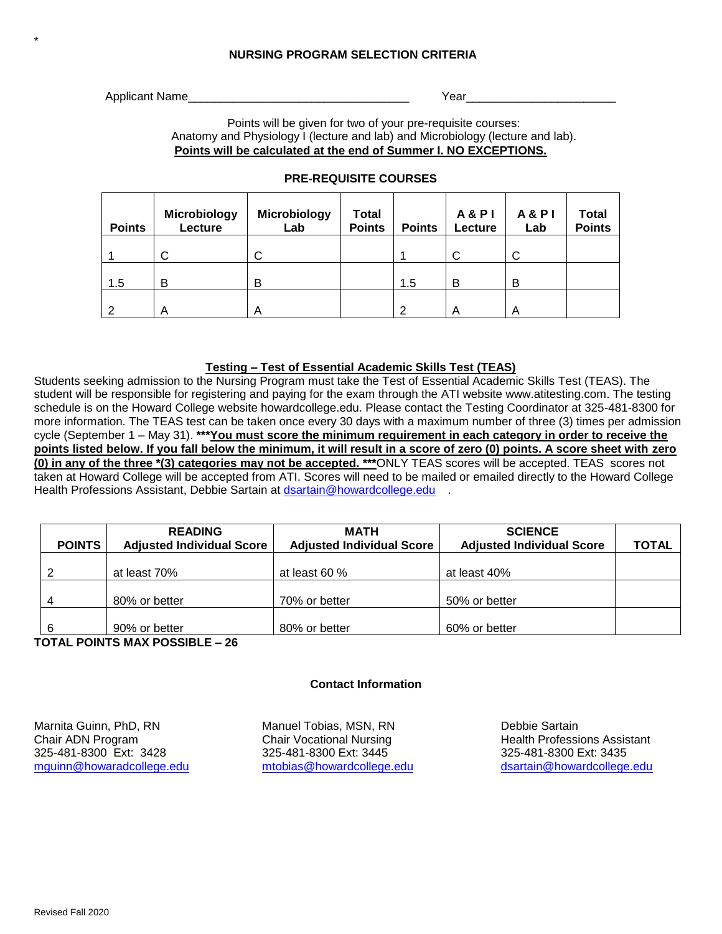# **NURSING PROGRAM SELECTION CRITERIA**

Applicant Name **Authority** Year

\*

Points will be given for two of your pre-requisite courses: Anatomy and Physiology I (lecture and lab) and Microbiology (lecture and lab). **Points will be calculated at the end of Summer I. NO EXCEPTIONS.**

| <b>Points</b> | <b>Microbiology</b><br>Lecture | <b>Microbiology</b><br>Lab | <b>Total</b><br><b>Points</b> | <b>Points</b> | <b>A&amp;PI</b><br>Lecture | <b>A&amp;PI</b><br>Lab | <b>Total</b><br><b>Points</b> |
|---------------|--------------------------------|----------------------------|-------------------------------|---------------|----------------------------|------------------------|-------------------------------|
|               | U                              | С                          |                               |               | C                          | С                      |                               |
| 1.5           | в                              | B                          |                               | 1.5           | B                          | B                      |                               |
| റ             | Α                              | Α                          |                               | ົ             |                            | A                      |                               |

# **PRE-REQUISITE COURSES**

#### **Testing – Test of Essential Academic Skills Test (TEAS)**

Students seeking admission to the Nursing Program must take the Test of Essential Academic Skills Test (TEAS). The student will be responsible for registering and paying for the exam through the ATI website www.atitesting.com. The testing schedule is on the Howard College website howardcollege.edu. Please contact the Testing Coordinator at 325-481-8300 for more information. The TEAS test can be taken once every 30 days with a maximum number of three (3) times per admission cycle (September 1 – May 31). **\*\*\*You must score the minimum requirement in each category in order to receive the points listed below. If you fall below the minimum, it will result in a score of zero (0) points. A score sheet with zero (0) in any of the three \*(3) categories may not be accepted. \*\*\***ONLY TEAS scores will be accepted. TEAS scores not taken at Howard College will be accepted from ATI. Scores will need to be mailed or emailed directly to the Howard College Health Professions Assistant, Debbie Sartain at [dsartain@howardcollege.edu](mailto:dsartain@howardcollege.edu)

| <b>POINTS</b> | <b>READING</b><br><b>Adjusted Individual Score</b> | <b>MATH</b><br><b>Adjusted Individual Score</b> | <b>SCIENCE</b><br><b>Adjusted Individual Score</b> | <b>TOTAL</b> |  |
|---------------|----------------------------------------------------|-------------------------------------------------|----------------------------------------------------|--------------|--|
|               | at least 70%                                       | at least 60 $%$                                 | at least 40%                                       |              |  |
| -4            | 80% or better                                      | 70% or better                                   | 50% or better                                      |              |  |
| 6             | 90% or better<br>TAT !! BAILTA HI ! V BAAAIBLE     | 80% or better                                   | 60% or better                                      |              |  |

**TOTAL POINTS MAX POSSIBLE – 26**

### **Contact Information**

Marnita Guinn, PhD, RN Manuel Tobias, MSN, RN Marnita Guinn, PhD, RN Debbie Sartain<br>Chair ADN Program Chair Vocational Nursing Health Professi Chair ADN Program **Chair Vocational Nursing Health Professions Assistant** 325-481-8300 Ext: 3428 325-481-8300 Ext: 3445 325-481-8300 Ext: 3435 [mguinn@howaradcollege.edu](mailto:mguinn@howaradcollege.edu) [mtobias@howardcollege.edu](mailto:mtobias@howardcollege.edu) [dsartain@howardcollege.edu](mailto:dsartain@howardcollege.edu)